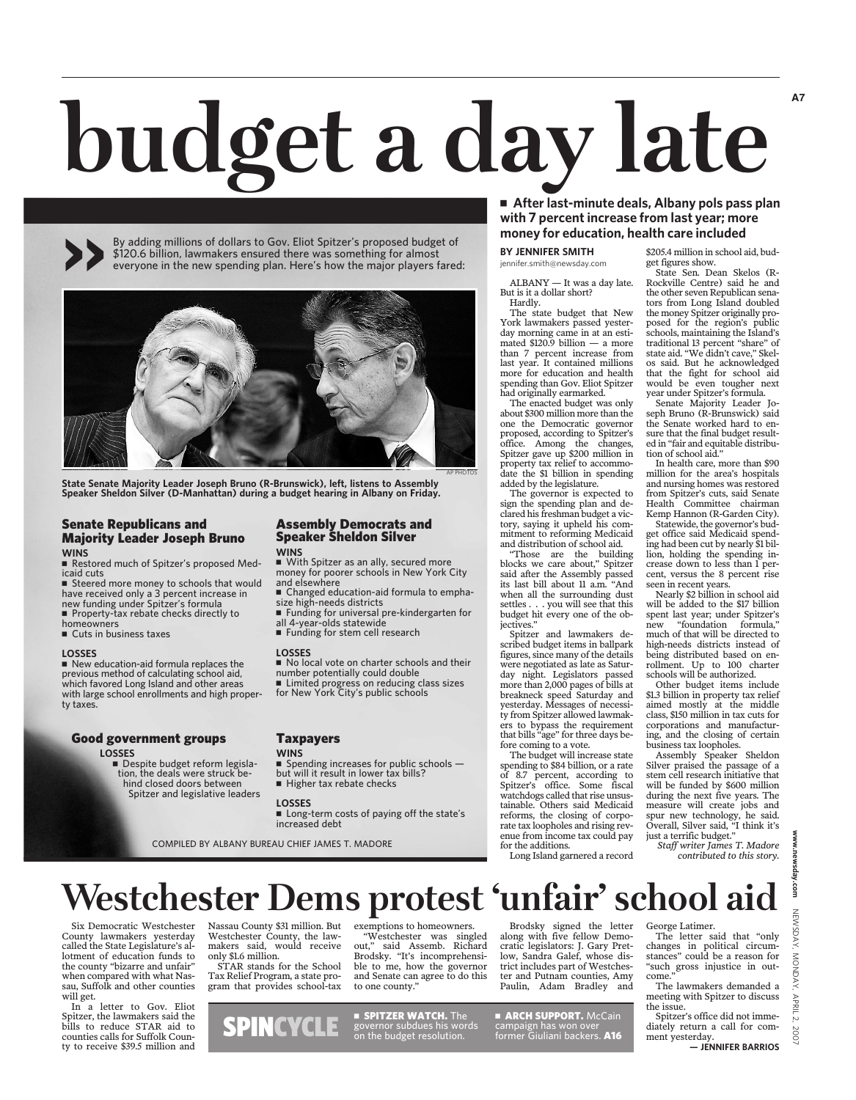# **budget a day late**

By adding millions of dollars to Gov. Eliot Spitzer's proposed budget of \$120.6 billion, lawmakers ensured there was something for almost everyone in the new spending plan. Here's how the major players fared: >>



**State Senate Majority Leader Joseph Bruno (R-Brunswick), left, listens to Assembly Speaker Sheldon Silver (D-Manhattan) during a budget hearing in Albany on Friday.**

#### Senate Republicans and Majority Leader Joseph Bruno **WINS**

 Restored much of Spitzer's proposed Medicaid cuts

■ Steered more money to schools that would have received only a 3 percent increase in

new funding under Spitzer's formula Property-tax rebate checks directly to

homeowners Cuts in business taxes

#### **LOSSES**

New education-aid formula replaces the previous method of calculating school aid, which favored Long Island and other areas with large school enrollments and high property taxes.

#### Good government groups

#### **LOSSES**

Despite budget reform legislation, the deals were struck behind closed doors between Spitzer and legislative leaders

#### Assembly Democrats and Speaker Sheldon Silver **WINS**

 With Spitzer as an ally, secured more money for poorer schools in New York City and elsewhere

 Changed education-aid formula to emphasize high-needs districts Funding for universal pre-kindergarten for

all 4-year-olds statewide

Funding for stem cell research

#### **LOSSES**

No local vote on charter schools and their

number potentially could double ■ Limited progress on reducing class sizes

for New York City's public schools

#### **WINS**

Spending increases for public schools  $$ but will it result in lower tax bills?

Higher tax rebate checks

#### **LOSSES**

■ Long-term costs of paying off the state's increased debt

COMPILED BY ALBANY BUREAU CHIEF JAMES T. MADORE

#### **After last-minute deals, Albany pols pass plan with 7 percent increase from last year; more money for education, health care included**

**BY JENNIFER SMITH** jennifer.smith@newsday.com

ALBANY — It was a day late. But is it a dollar short? Hardly.

The state budget that New York lawmakers passed yesterday morning came in at an estimated \$120.9 billion — a more than 7 percent increase from last year. It contained millions more for education and health spending than Gov. Eliot Spitzer had originally earmarked.

The enacted budget was only about \$300 million more than the one the Democratic governor proposed, according to Spitzer's office. Among the changes, Spitzer gave up \$200 million in property tax relief to accommodate the \$1 billion in spending added by the legislature.

The governor is expected to sign the spending plan and declared his freshman budget a victory, saying it upheld his commitment to reforming Medicaid and distribution of school aid.

"Those are the building blocks we care about," Spitzer said after the Assembly passed its last bill about 11 a.m. "And when all the surrounding dust settles . . . you will see that this budget hit every one of the obiectives.'

Spitzer and lawmakers described budget items in ballpark figures, since many of the details were negotiated as late as Saturday night. Legislators passed more than 2,000 pages of bills at breakneck speed Saturday and yesterday. Messages of necessity from Spitzer allowed lawmakers to bypass the requirement that bills "age" for three days before coming to a vote.

The budget will increase state spending to \$84 billion, or a rate of 8.7 percent, according to Spitzer's office. Some fiscal watchdogs called that rise unsustainable. Others said Medicaid reforms, the closing of corporate tax loopholes and rising revenue from income tax could pay for the additions.

Long Island garnered a record

\$205.4 million in school aid, budget figures show.

**A7**

State Sen. Dean Skelos (R-Rockville Centre) said he and the other seven Republican senators from Long Island doubled the money Spitzer originally proposed for the region's public schools, maintaining the Island's traditional 13 percent "share" of state aid. "We didn't cave," Skelos said. But he acknowledged that the fight for school aid would be even tougher next year under Spitzer's formula.

Senate Majority Leader Joseph Bruno (R-Brunswick) said the Senate worked hard to ensure that the final budget resulted in "fair and equitable distribution of school aid."

In health care, more than \$90 million for the area's hospitals and nursing homes was restored from Spitzer's cuts, said Senate Health Committee chairman Kemp Hannon (R-Garden City).

Statewide, the governor's budget office said Medicaid spending had been cut by nearly \$1 billion, holding the spending increase down to less than 1 percent, versus the 8 percent rise seen in recent years.

Nearly \$2 billion in school aid will be added to the \$17 billion spent last year; under Spitzer's new "foundation formula," much of that will be directed to high-needs districts instead of being distributed based on enrollment. Up to 100 charter schools will be authorized.

Other budget items include \$1.3 billion in property tax relief aimed mostly at the middle class, \$150 million in tax cuts for corporations and manufacturing, and the closing of certain business tax loopholes.

Assembly Speaker Sheldon Silver praised the passage of a stem cell research initiative that will be funded by \$600 million during the next five years. The measure will create jobs and spur new technology, he said. Overall, Silver said, "I think it's just a terrific budget."

*Staff writer James T. Madore contributed to this story.*

### **Westchester Dems protest 'unfair' school aid**

Six Democratic Westchester County lawmakers yesterday called the State Legislature's allotment of education funds to the county "bizarre and unfair" when compared with what Nassau, Suffolk and other counties will get.

In a letter to Gov. Eliot Spitzer, the lawmakers said the bills to reduce STAR aid to counties calls for Suffolk County to receive \$39.5 million and

Nassau County \$31 million. But Westchester County, the lawmakers said, would receive only \$1.6 million. STAR stands for the School

Tax Relief Program, a state program that provides school-tax

exemptions to homeowners. "Westchester was singled<br>out." said Assemb, Richard said Assemb. Richard Brodsky. "It's incomprehensible to me, how the governor and Senate can agree to do this to one county."

**Expitzer WATCH.** The governor subdues his words

Brodsky signed the letter along with five fellow Democratic legislators: J. Gary Pretlow, Sandra Galef, whose district includes part of Westchester and Putnam counties, Amy Paulin, Adam Bradley and

SPINCYCLE SPILLER WATCH. The SARCH SUPPORT: MICCAIN<br>
on the budget resolution. former Giuliani backers. A16 **ARCH SUPPORT. McCain**  George Latimer. The letter said that "only changes in political circumstances" could be a reason for

"such gross injustice in outcome. The lawmakers demanded a meeting with Spitzer to discuss

the issue. Spitzer's office did not immediately return a call for comment yesterday.

 **— JENNIFER BARRIOS**

# **Taxpayers**